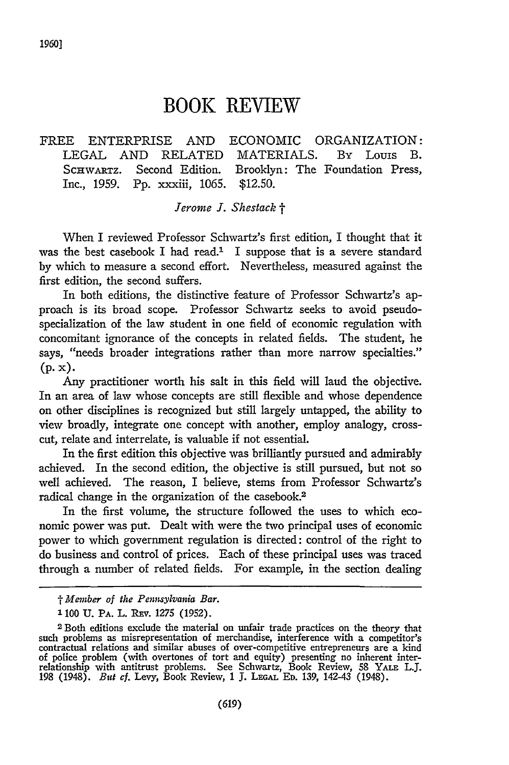## **BOOK REVIEW**

## FREE ENTERPRISE AND ECONOMIC ORGANIZATION: LEGAL AND RELATED MATERIALS. By Louis B. SCHWARTZ. Second Edition. Brooklyn: The Foundation Press, Inc., 1959. Pp. xxxiii, 1065. \$12.50.

## *Jerome J. Shestack t*

When I reviewed Professor Schwartz's first edition, I thought that it was the best casebook I had read.<sup>1</sup> I suppose that is a severe standard by which to measure a second effort. Nevertheless, measured against the first edition, the second suffers.

In both editions, the distinctive feature of Professor Schwartz's approach is its broad scope. Professor Schwartz seeks to avoid pseudospecialization of the law student in one field of economic regulation with concomitant ignorance of the concepts in related fields. The student, he says, "needs broader integrations rather than more narrow specialties." **(p. x).**

Any practitioner worth his salt in this field will laud the objective. In an area of law whose concepts are still flexible and whose dependence on other disciplines is recognized but still largely untapped, the ability to view broadly, integrate one concept with another, employ analogy, crosscut, relate and interrelate, is valuable if not essential.

In the first edition this objective was brilliantly pursued and admirably achieved. In the second edition, the objective is still pursued, but not so well achieved. The reason, I believe, stems from Professor Schwartz's radical change in the organization of the casebook.2

In the first volume, the structure followed the uses to which economic power was put. Dealt with were the two principal uses of economic power to which government regulation is directed: control of the right to do business and control of prices. Each of these principal uses was traced through a number of related fields. For example, in the section dealing

*t Member of the Pennsylvania Bar.*

<sup>1100</sup> U. PA. L. REV. 1275 (1952).

<sup>2</sup> Both editions exclude the material on unfair trade practices on the theory that such problems as misrepresentation of merchandise, interference with a competitor's contractual relations and similar abuses of over-competitive entrepreneurs are a kind of police problem (with overtones of tort and equity) presenting no inherent interrelationship with antitrust problems. See Schwartz, Book Review, 58 YALE L.J. 198 (1948). *But cf.* Levy, Book Review, 1 J. **LEGAL ED.** 139, 142-43 (1948).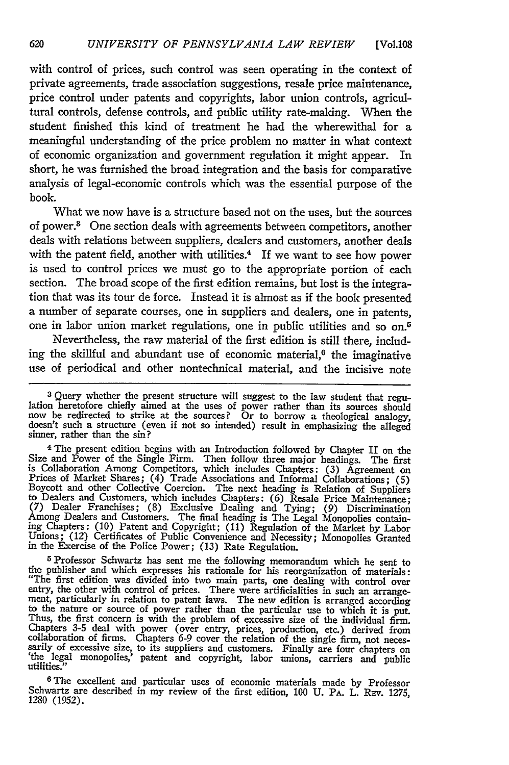with control of prices, such control was seen operating in the context of private agreements, trade association suggestions, resale price maintenance, price control under patents and copyrights, labor union controls, agricultural controls, defense controls, and public utility rate-making. When the student finished this kind of treatment he had the wherewithal for a meaningful understanding of the price problem no matter in what context of economic organization and government regulation it might appear. In short, he was furnished the broad integration and the basis for comparative analysis of legal-economic controls which was the essential purpose of the book.

What we now have is a structure based not on the uses, but the sources of power.3 One section deals with agreements between competitors, another deals with relations between suppliers, dealers and customers, another deals with the patent field, another with utilities.<sup>4</sup> If we want to see how power is used to control prices we must go to the appropriate portion of each section. The broad scope of the first edition remains, but lost is the integration that was its tour de force. Instead it is almost as if the book presented a number of separate courses, one in suppliers and dealers, one in patents, one in labor union market regulations, one in public utilities and so on.5

Nevertheless, the raw material of the first edition is still there, including the skillful and abundant use of economic material, $6$  the imaginative use of periodical and other nontechnical material, and the incisive note

**<sup>5</sup>**Professor Schwartz has sent me the following memorandum which he sent to the publisher and which expresses his rationale for his reorganization of materials: "The first edition was divided into two main parts, one dealing with control over<br>entry, the other with control of prices. There were artificialities in such an arrange<br>ment, particularly in relation to patent laws. The ne to the nature or source of power rather than the particular use to which it is put.<br>Thus, the first concern is with the problem of excessive size of the individual firm. Chapters 3-5 deal with power (over entry, prices, production, etc.) derived from<br>collaboration of firms. Chapters 6-9 cover the relation of the single firm, not neces-<br>sarily of excessive size, to its suppliers and custome

**6 The** excellent and particular uses of economic materials made **by** Professor Schwartz are described in my review of the first edition, **100 U. PA.** L. Rzv. **1275,** 1280 (1952).

<sup>&</sup>lt;sup>3</sup> Query whether the present structure will suggest to the law student that regulation heretofore chiefly aimed at the uses of power rather than its sources should now be redirected to strike at the sources? Or to borrow

<sup>4</sup> **The** present edition begins with an Introduction followed **by** Chapter II on the Size and Power of the Single Firm. Then follow three major headings. The first is Collaboration Among Competitors, which includes Chapters: (3) Agreement on<br>Prices of Market Shares; (4) Trade Associations and Informal Collaborations; (5)<br>Boycott and other Collective Coercion. The next heading is Rela Among Dealers and Customers. The final heading is The Legal Monopolies containing Chapters: **(10)** Patent and Copyright; (11) Regulation of the Market **by** Labor Unions; (12) Certificates of Public Convenience and Necessity: Monopolies Granted in the Exercise of the Police Power; (13) Rate Regulation.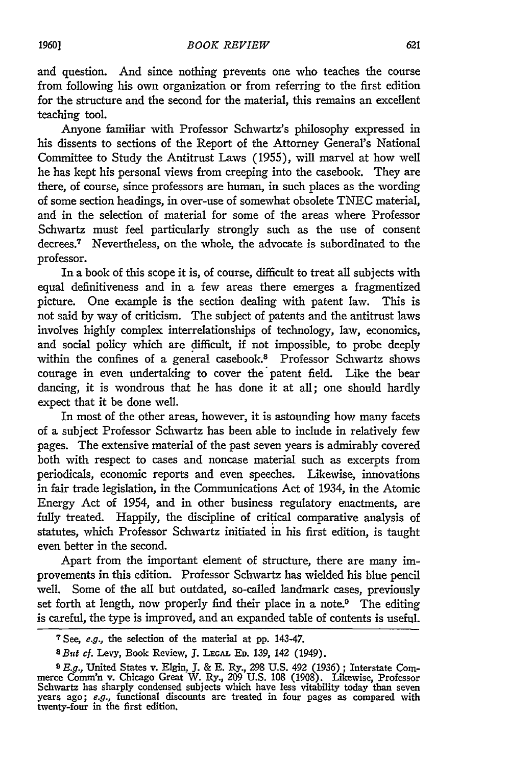and question. And since nothing prevents one who teaches the course from following his own organization or from referring to the first edition for the structure and the second for the material, this remains an excellent teaching tool.

Anyone familiar with Professor Schwartz's philosophy expressed in his dissents to sections of the Report of the Attorney General's National Committee to Study the Antitrust Laws (1955), will marvel at how well he has kept his personal views from creeping into the casebook. They are there, of course, since professors are human, in such places as the wording of some section headings, in over-use of somewhat obsolete TNEC material, and in the selection of material for some of the areas where Professor Schwartz must feel particularly strongly such as the use of consent decrees.7 Nevertheless, on the whole, the advocate is subordinated to the professor.

In a book of this scope it is, of course, difficult to treat all subjects with equal definitiveness and in a few areas there emerges a fragmentized picture. One example is the section dealing with patent law. This is not said by way of criticism. The subject of patents and the antitrust laws involves highly complex interrelationships of technology, law, economics, and social policy which are difficult, if not impossible, to probe deeply within the confines of a general casebook.<sup>8</sup> Professor Schwartz shows courage in even undertaking to cover the patent field. Like the bear dancing, it is wondrous that he has done it at all; one should hardly expect that it be done well.

In most of the other areas, however, it is astounding how many facets of a subject Professor Schwartz has been able to include in relatively few pages. The extensive material of the past seven years is admirably covered both with respect to cases and noncase material such as excerpts from periodicals, economic reports and even speeches. Likewise, innovations in fair trade legislation, in the Communications Act of 1934, in the Atomic Energy Act of 1954, and in other business regulatory enactments, are fully treated. Happily, the discipline of critical comparative analysis of statutes, which Professor Schwartz initiated in his first edition, is taught even better in the second.

Apart from the important element of structure, there are many improvements in this edition. Professor Schwartz has wielded his blue pencil well. Some of the all but outdated, so-called landmark cases, previously set forth at length, now properly find their place in a note.<sup>9</sup> The editing is careful, the type is improved, and an expanded table of contents is useful.

*<sup>7</sup>*See, e.g., the selection of the material at pp. 143-47.

*SBiut* cf. Levy, Book Review, J. **LEGA. ED.** 139, 142 (1949).

<sup>&</sup>lt;sup>9</sup> E.g., United States v. Elgin, J. & E. Ry., 298 U.S. 492 (1936) ; Interstate Commerce Comm'n v. Chicago Great W. Ry., 209 U.S. 108 (1908). Likewise, Professor Schwartz has sharply condensed subjects which have less vitability today than seven years ago;  $e.g.,$  functional discounts are treated in four pages as compared with twenty-four in the first edition.